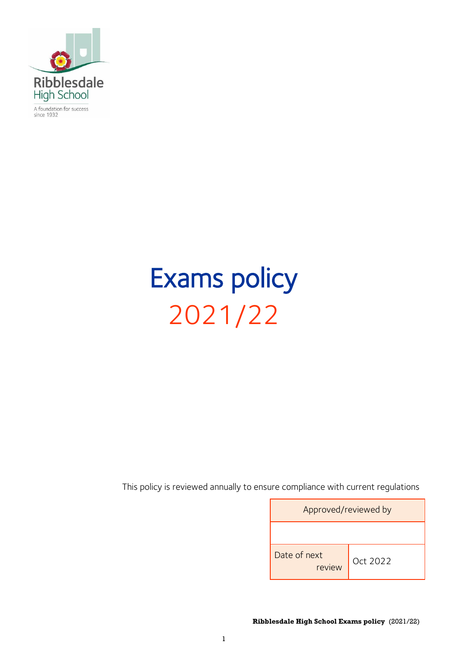

A foundation for success<br>since 1932

# Exams policy 2021/22

This policy is reviewed annually to ensure compliance with current regulations

| Approved/reviewed by   |          |
|------------------------|----------|
|                        |          |
| Date of next<br>review | Oct 2022 |

**Ribblesdale High School Exams policy** (2021/22)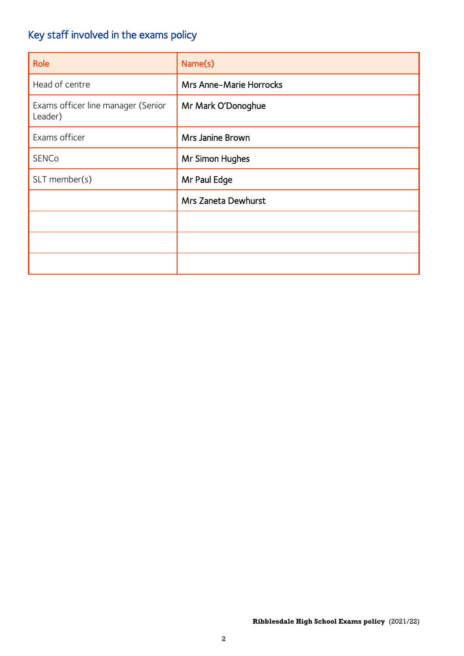# Key staff involved in the exams policy

| Role                                          | Name(s)                        |
|-----------------------------------------------|--------------------------------|
| Head of centre                                | <b>Mrs Anne-Marie Horrocks</b> |
| Exams officer line manager (Senior<br>Leader) | Mr Mark O'Donoghue             |
| Exams officer                                 | Mrs Janine Brown               |
| <b>SENCo</b>                                  | Mr Simon Hughes                |
| SLT member(s)                                 | Mr Paul Edge                   |
|                                               | Mrs Zaneta Dewhurst            |
|                                               |                                |
|                                               |                                |
|                                               |                                |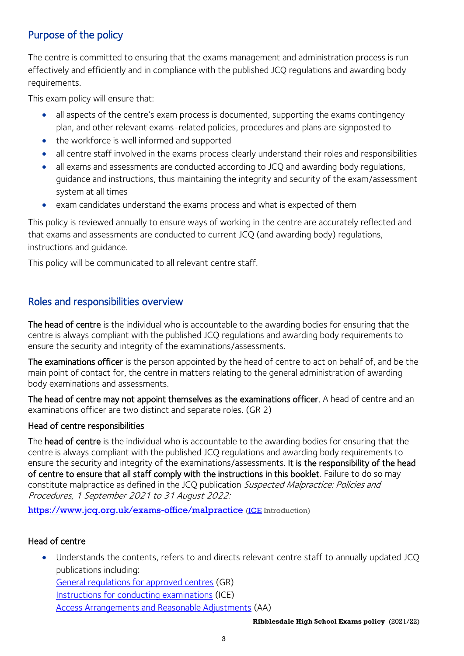# Purpose of the policy

The centre is committed to ensuring that the exams management and administration process is run effectively and efficiently and in compliance with the published JCQ regulations and awarding body requirements.

This exam policy will ensure that:

- all aspects of the centre's exam process is documented, supporting the exams contingency plan, and other relevant exams-related policies, procedures and plans are signposted to
- the workforce is well informed and supported
- all centre staff involved in the exams process clearly understand their roles and responsibilities
- all exams and assessments are conducted according to JCQ and awarding body regulations, guidance and instructions, thus maintaining the integrity and security of the exam/assessment system at all times
- exam candidates understand the exams process and what is expected of them

This policy is reviewed annually to ensure ways of working in the centre are accurately reflected and that exams and assessments are conducted to current JCQ (and awarding body) regulations, instructions and guidance.

This policy will be communicated to all relevant centre staff.

# Roles and responsibilities overview

The head of centre is the individual who is accountable to the awarding bodies for ensuring that the centre is always compliant with the published JCQ regulations and awarding body requirements to ensure the security and integrity of the examinations/assessments.

The examinations officer is the person appointed by the head of centre to act on behalf of, and be the main point of contact for, the centre in matters relating to the general administration of awarding body examinations and assessments.

The head of centre may not appoint themselves as the examinations officer. A head of centre and an examinations officer are two distinct and separate roles. [\(GR](http://www.jcq.org.uk/exams-office/general-regulations) 2)

#### Head of centre responsibilities

The head of centre is the individual who is accountable to the awarding bodies for ensuring that the centre is always compliant with the published JCQ regulations and awarding body requirements to ensure the security and integrity of the examinations/assessments. It is the responsibility of the head of centre to ensure that all staff comply with the instructions in this booklet. Failure to do so may constitute malpractice as defined in the JCQ publication Suspected Malpractice: Policies and Procedures, 1 September 2021 to 31 August 2022:

<https://www.jcq.org.uk/exams-office/malpractice> [\(ICE](http://www.jcq.org.uk/exams-office/ice---instructions-for-conducting-examinations) Introduction)

#### Head of centre

Understands the contents, refers to and directs relevant centre staff to annually updated JCQ publications including: [General regulations for approved centres](http://www.jcq.org.uk/exams-office/general-regulations) (GR) [Instructions for conducting examinations](http://www.jcq.org.uk/exams-office/ice---instructions-for-conducting-examinations) (ICE) [Access Arrangements and Reasonable Adjustments](http://www.jcq.org.uk/exams-office/access-arrangements-and-special-consideration/regulations-and-guidance) (AA)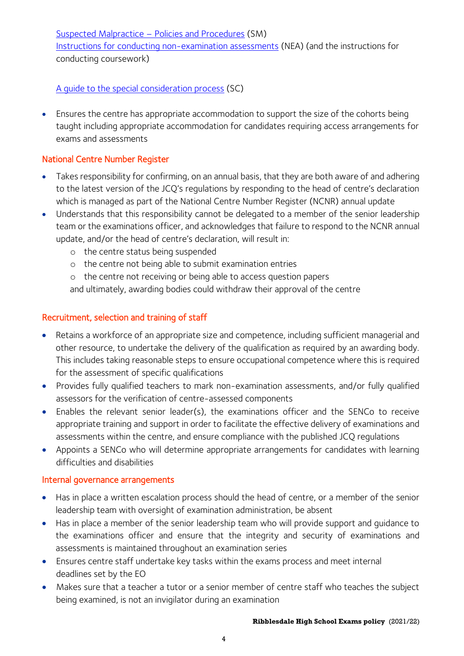[Suspected Malpractice](http://www.jcq.org.uk/exams-office/malpractice) – Policies and Procedures (SM)

[Instructions for conducting non-examination assessments](http://www.jcq.org.uk/exams-office/non-examination-assessments) (NEA) (and the instructions for conducting coursework)

[A guide to the special consideration process](http://www.jcq.org.uk/exams-office/access-arrangements-and-special-consideration/regulations-and-guidance) (SC)

• Ensures the centre has appropriate accommodation to support the size of the cohorts being taught including appropriate accommodation for candidates requiring access arrangements for exams and assessments

# National Centre Number Register

- Takes responsibility for confirming, on an annual basis, that they are both aware of and adhering to the latest version of the JCQ's regulations by responding to the head of centre's declaration which is managed as part of the National Centre Number Register (NCNR) annual update
- Understands that this responsibility cannot be delegated to a member of the senior leadership team or the examinations officer, and acknowledges that failure to respond to the NCNR annual update, and/or the head of centre's declaration, will result in:
	- o the centre status being suspended
	- o the centre not being able to submit examination entries
	- o the centre not receiving or being able to access question papers and ultimately, awarding bodies could withdraw their approval of the centre

# Recruitment, selection and training of staff

- Retains a workforce of an appropriate size and competence, including sufficient managerial and other resource, to undertake the delivery of the qualification as required by an awarding body. This includes taking reasonable steps to ensure occupational competence where this is required for the assessment of specific qualifications
- Provides fully qualified teachers to mark non-examination assessments, and/or fully qualified assessors for the verification of centre-assessed components
- Enables the relevant senior leader(s), the examinations officer and the SENCo to receive appropriate training and support in order to facilitate the effective delivery of examinations and assessments within the centre, and ensure compliance with the published JCQ regulations
- Appoints a SENCo who will determine appropriate arrangements for candidates with learning difficulties and disabilities

# Internal governance arrangements

- Has in place a written escalation process should the head of centre, or a member of the senior leadership team with oversight of examination administration, be absent
- Has in place a member of the senior leadership team who will provide support and guidance to the examinations officer and ensure that the integrity and security of examinations and assessments is maintained throughout an examination series
- Ensures centre staff undertake key tasks within the exams process and meet internal deadlines set by the EO
- Makes sure that a teacher a tutor or a senior member of centre staff who teaches the subject being examined, is not an invigilator during an examination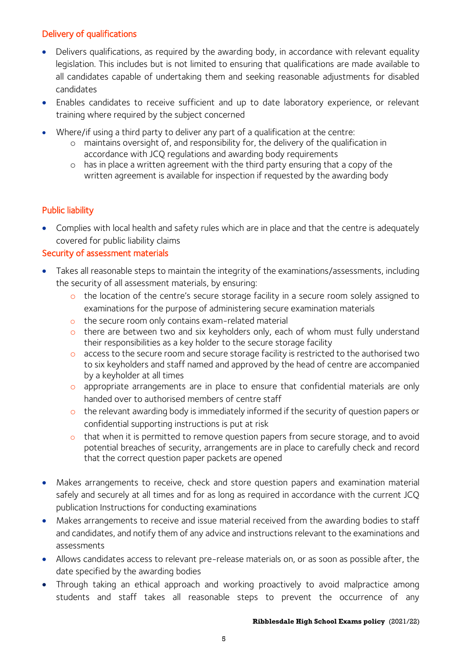## Delivery of qualifications

- Delivers qualifications, as required by the awarding body, in accordance with relevant equality legislation. This includes but is not limited to ensuring that qualifications are made available to all candidates capable of undertaking them and seeking reasonable adjustments for disabled candidates
- Enables candidates to receive sufficient and up to date laboratory experience, or relevant training where required by the subject concerned
- Where/if using a third party to deliver any part of a qualification at the centre:
	- o maintains oversight of, and responsibility for, the delivery of the qualification in accordance with JCQ regulations and awarding body requirements
	- o has in place a written agreement with the third party ensuring that a copy of the written agreement is available for inspection if requested by the awarding body

# Public liability

• Complies with local health and safety rules which are in place and that the centre is adequately covered for public liability claims

## Security of assessment materials

- Takes all reasonable steps to maintain the integrity of the examinations/assessments, including the security of all assessment materials, by ensuring:
	- o the location of the centre's secure storage facility in a secure room solely assigned to examinations for the purpose of administering secure examination materials
	- o the secure room only contains exam-related material
	- o there are between two and six keyholders only, each of whom must fully understand their responsibilities as a key holder to the secure storage facility
	- o access to the secure room and secure storage facility is restricted to the authorised two to six keyholders and staff named and approved by the head of centre are accompanied by a keyholder at all times
	- o appropriate arrangements are in place to ensure that confidential materials are only handed over to authorised members of centre staff
	- o the relevant awarding body is immediately informed if the security of question papers or confidential supporting instructions is put at risk
	- o that when it is permitted to remove question papers from secure storage, and to avoid potential breaches of security, arrangements are in place to carefully check and record that the correct question paper packets are opened
- Makes arrangements to receive, check and store question papers and examination material safely and securely at all times and for as long as required in accordance with the current JCQ publication Instructions for conducting examinations
- Makes arrangements to receive and issue material received from the awarding bodies to staff and candidates, and notify them of any advice and instructions relevant to the examinations and assessments
- Allows candidates access to relevant pre-release materials on, or as soon as possible after, the date specified by the awarding bodies
- Through taking an ethical approach and working proactively to avoid malpractice among students and staff takes all reasonable steps to prevent the occurrence of any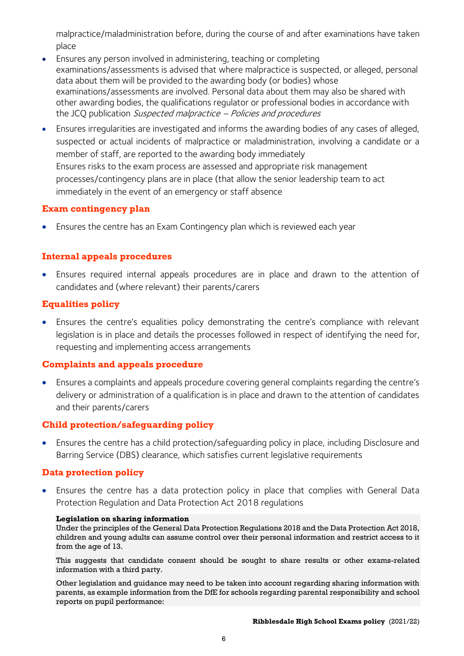malpractice/maladministration before, during the course of and after examinations have taken place

- Ensures any person involved in administering, teaching or completing examinations/assessments is advised that where malpractice is suspected, or alleged, personal data about them will be provided to the awarding body (or bodies) whose examinations/assessments are involved. Personal data about them may also be shared with other awarding bodies, the qualifications regulator or professional bodies in accordance with the JCQ publication Suspected malpractice – Policies and procedures
- Ensures irregularities are investigated and informs the awarding bodies of any cases of alleged, suspected or actual incidents of malpractice or maladministration, involving a candidate or a member of staff, are reported to the awarding body immediately Ensures risks to the exam process are assessed and appropriate risk management processes/contingency plans are in place (that allow the senior leadership team to act immediately in the event of an emergency or staff absence

#### **Exam contingency plan**

• Ensures the centre has an Exam Contingency plan which is reviewed each year

#### **Internal appeals procedures**

• Ensures required internal appeals procedures are in place and drawn to the attention of candidates and (where relevant) their parents/carers

#### **Equalities policy**

• Ensures the centre's equalities policy demonstrating the centre's compliance with relevant legislation is in place and details the processes followed in respect of identifying the need for, requesting and implementing access arrangements

#### **Complaints and appeals procedure**

• Ensures a complaints and appeals procedure covering general complaints regarding the centre's delivery or administration of a qualification is in place and drawn to the attention of candidates and their parents/carers

#### **Child protection/safeguarding policy**

• Ensures the centre has a child protection/safeguarding policy in place, including Disclosure and Barring Service (DBS) clearance, which satisfies current legislative requirements

#### **Data protection policy**

• Ensures the centre has a data protection policy in place that complies with General Data Protection Regulation and Data Protection Act 2018 regulations

#### **Legislation on sharing information**

Under the principles of the General Data Protection Regulations 2018 and the Data Protection Act 2018, children and young adults can assume control over their personal information and restrict access to it from the age of 13.

This suggests that candidate consent should be sought to share results or other exams-related information with a third party.

Other legislation and guidance may need to be taken into account regarding sharing information with parents, as example information from the DfE for schools regarding parental responsibility and school reports on pupil performance: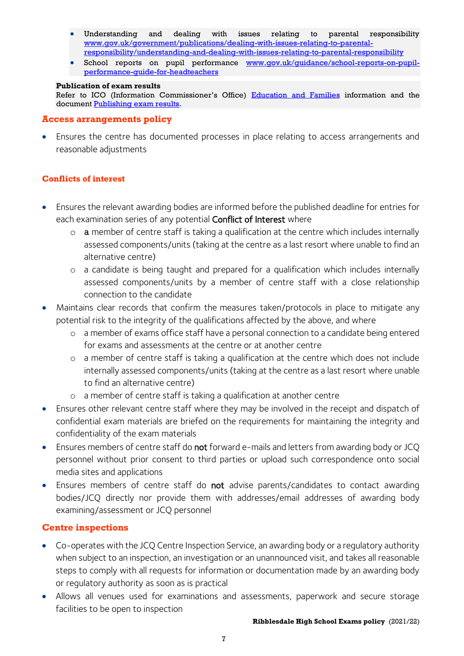- Understanding and dealing with issues relating to parental responsibility [www.gov.uk/government/publications/dealing-with-issues-relating-to-parental](https://www.gov.uk/government/publications/dealing-with-issues-relating-to-parental-responsibility/understanding-and-dealing-with-issues-relating-to-parental-responsibility)[responsibility/understanding-and-dealing-with-issues-relating-to-parental-responsibility](https://www.gov.uk/government/publications/dealing-with-issues-relating-to-parental-responsibility/understanding-and-dealing-with-issues-relating-to-parental-responsibility)
- School reports on pupil performance [www.gov.uk/guidance/school-reports-on-pupil](https://www.gov.uk/guidance/school-reports-on-pupil-performance-guide-for-headteachers)[performance-guide-for-headteachers](https://www.gov.uk/guidance/school-reports-on-pupil-performance-guide-for-headteachers)

#### **Publication of exam results**

Refer to ICO (Information Commissioner's Office) [Education and Families](https://ico.org.uk/for-organisations/education/) information and the document [Publishing exam results.](https://ico.org.uk/for-organisations/education/)

#### **Access arrangements policy**

• Ensures the centre has documented processes in place relating to access arrangements and reasonable adjustments

#### **Conflicts of interest**

- Ensures the relevant awarding bodies are informed before the published deadline for entries for each examination series of any potential **Conflict of Interest** where
	- $\circ$  a member of centre staff is taking a qualification at the centre which includes internally assessed components/units (taking at the centre as a last resort where unable to find an alternative centre)
	- o a candidate is being taught and prepared for a qualification which includes internally assessed components/units by a member of centre staff with a close relationship connection to the candidate
- Maintains clear records that confirm the measures taken/protocols in place to mitigate any potential risk to the integrity of the qualifications affected by the above, and where
	- o a member of exams office staff have a personal connection to a candidate being entered for exams and assessments at the centre or at another centre
	- o a member of centre staff is taking a qualification at the centre which does not include internally assessed components/units (taking at the centre as a last resort where unable to find an alternative centre)
	- o a member of centre staff is taking a qualification at another centre
- Ensures other relevant centre staff where they may be involved in the receipt and dispatch of confidential exam materials are briefed on the requirements for maintaining the integrity and confidentiality of the exam materials
- Ensures members of centre staff do not forward e-mails and letters from awarding body or JCQ personnel without prior consent to third parties or upload such correspondence onto social media sites and applications
- Ensures members of centre staff do not advise parents/candidates to contact awarding bodies/JCQ directly nor provide them with addresses/email addresses of awarding body examining/assessment or JCQ personnel

#### **Centre inspections**

- Co-operates with the JCQ Centre Inspection Service, an awarding body or a regulatory authority when subject to an inspection, an investigation or an unannounced visit, and takes all reasonable steps to comply with all requests for information or documentation made by an awarding body or regulatory authority as soon as is practical
- Allows all venues used for examinations and assessments, paperwork and secure storage facilities to be open to inspection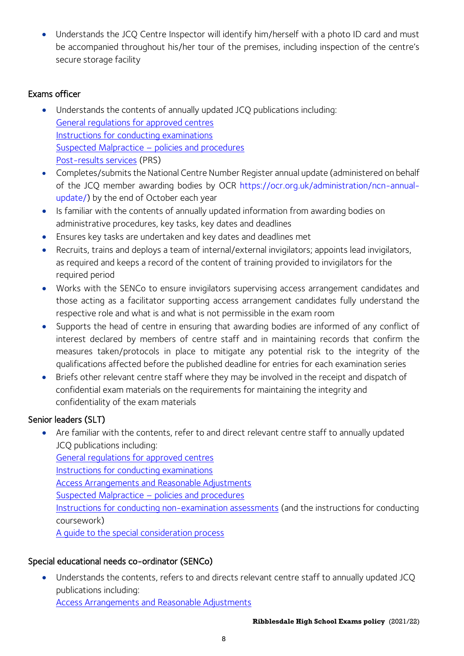• Understands the JCQ Centre Inspector will identify him/herself with a photo ID card and must be accompanied throughout his/her tour of the premises, including inspection of the centre's secure storage facility

# Exams officer

- Understands the contents of annually updated JCQ publications including: [General regulations for approved centres](http://www.jcq.org.uk/exams-office/general-regulations) [Instructions for conducting examinations](http://www.jcq.org.uk/exams-office/ice---instructions-for-conducting-examinations) Suspected Malpractice – policies and procedures [Post-results services](http://www.jcq.org.uk/exams-office/post-results-services) (PRS)
- Completes/submits the National Centre Number Register annual update (administered on behalf of the JCQ member awarding bodies by OCR [https://ocr.org.uk/administration/ncn-annual](https://ocr.org.uk/administration/ncn-annual-update/)[update/\)](https://ocr.org.uk/administration/ncn-annual-update/) by the end of October each year
- Is familiar with the contents of annually updated information from awarding bodies on administrative procedures, key tasks, key dates and deadlines
- Ensures key tasks are undertaken and key dates and deadlines met
- Recruits, trains and deploys a team of internal/external invigilators; appoints lead invigilators, as required and keeps a record of the content of training provided to invigilators for the required period
- Works with the SENCo to ensure invigilators supervising access arrangement candidates and those acting as a facilitator supporting access arrangement candidates fully understand the respective role and what is and what is not permissible in the exam room
- Supports the head of centre in ensuring that awarding bodies are informed of any conflict of interest declared by members of centre staff and in maintaining records that confirm the measures taken/protocols in place to mitigate any potential risk to the integrity of the qualifications affected before the published deadline for entries for each examination series
- Briefs other relevant centre staff where they may be involved in the receipt and dispatch of confidential exam materials on the requirements for maintaining the integrity and confidentiality of the exam materials

# Senior leaders (SLT)

• Are familiar with the contents, refer to and direct relevant centre staff to annually updated JCQ publications including:

[General regulations for approved centres](http://www.jcq.org.uk/exams-office/general-regulations) [Instructions for conducting examinations](http://www.jcq.org.uk/exams-office/ice---instructions-for-conducting-examinations) [Access Arrangements and Reasonable Adjustments](http://www.jcq.org.uk/exams-office/access-arrangements-and-special-consideration/regulations-and-guidance) [Suspected Malpractice](http://www.jcq.org.uk/exams-office/malpractice) – policies and procedures [Instructions for conducting non-examination assessments](http://www.jcq.org.uk/exams-office/non-examination-assessments) (and the instructions for conducting coursework) [A guide to the special consideration process](http://www.jcq.org.uk/exams-office/access-arrangements-and-special-consideration/regulations-and-guidance)

# Special educational needs co-ordinator (SENCo)

• Understands the contents, refers to and directs relevant centre staff to annually updated JCQ publications including:

[Access Arrangements and Reasonable Adjustments](http://www.jcq.org.uk/exams-office/access-arrangements-and-special-consideration/regulations-and-guidance)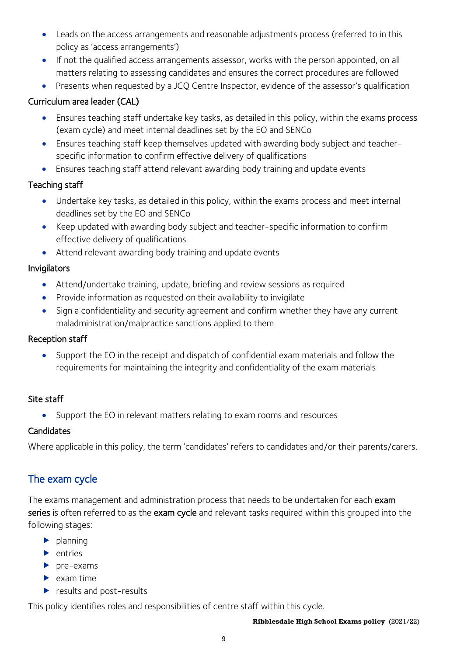- Leads on the access arrangements and reasonable adjustments process (referred to in this policy as 'access arrangements')
- If not the qualified access arrangements assessor, works with the person appointed, on all matters relating to assessing candidates and ensures the correct procedures are followed
- Presents when requested by a JCQ Centre Inspector, evidence of the assessor's qualification

# Curriculum area leader (CAL)

- Ensures teaching staff undertake key tasks, as detailed in this policy, within the exams process (exam cycle) and meet internal deadlines set by the EO and SENCo
- Ensures teaching staff keep themselves updated with awarding body subject and teacherspecific information to confirm effective delivery of qualifications
- Ensures teaching staff attend relevant awarding body training and update events

# Teaching staff

- Undertake key tasks, as detailed in this policy, within the exams process and meet internal deadlines set by the EO and SENCo
- Keep updated with awarding body subject and teacher-specific information to confirm effective delivery of qualifications
- Attend relevant awarding body training and update events

## Invigilators

- Attend/undertake training, update, briefing and review sessions as required
- Provide information as requested on their availability to invigilate
- Sign a confidentiality and security agreement and confirm whether they have any current maladministration/malpractice sanctions applied to them

#### Reception staff

• Support the EO in the receipt and dispatch of confidential exam materials and follow the requirements for maintaining the integrity and confidentiality of the exam materials

#### Site staff

• Support the EO in relevant matters relating to exam rooms and resources

# **Candidates**

Where applicable in this policy, the term 'candidates' refers to candidates and/or their parents/carers.

# The exam cycle

The exams management and administration process that needs to be undertaken for each exam series is often referred to as the exam cycle and relevant tasks required within this grouped into the following stages:

- $\blacktriangleright$  planning
- $\blacktriangleright$  entries
- $\blacktriangleright$  pre-exams
- $\blacktriangleright$  exam time
- results and post-results

This policy identifies roles and responsibilities of centre staff within this cycle.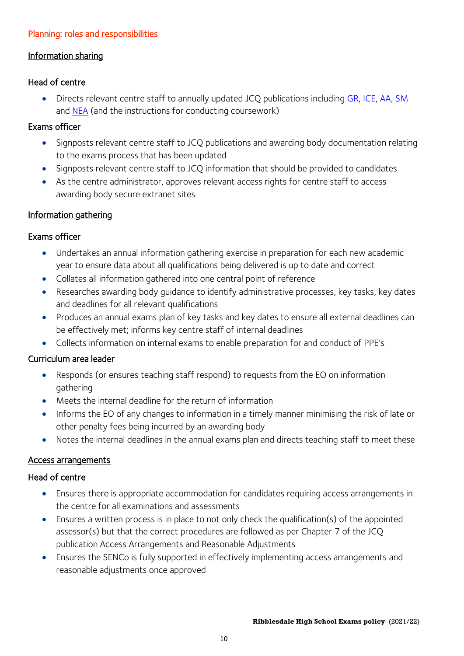## Planning: roles and responsibilities

## Information sharing

## Head of centre

• Directs relevant centre staff to annually updated JCQ publications including [GR,](http://www.jcq.org.uk/exams-office/general-regulations) [ICE,](http://www.jcq.org.uk/exams-office/ice---instructions-for-conducting-examinations) [AA,](http://www.jcq.org.uk/exams-office/access-arrangements-and-special-consideration) [SM](http://www.jcq.org.uk/exams-office/malpractice) and [NEA](http://www.jcq.org.uk/exams-office/non-examination-assessments) (and the instructions for conducting coursework)

# Exams officer

- Signposts relevant centre staff to JCQ publications and awarding body documentation relating to the exams process that has been updated
- Signposts relevant centre staff to JCQ information that should be provided to candidates
- As the centre administrator, approves relevant access rights for centre staff to access awarding body secure extranet sites

# Information gathering

# Exams officer

- Undertakes an annual information gathering exercise in preparation for each new academic year to ensure data about all qualifications being delivered is up to date and correct
- Collates all information gathered into one central point of reference
- Researches awarding body guidance to identify administrative processes, key tasks, key dates and deadlines for all relevant qualifications
- Produces an annual exams plan of key tasks and key dates to ensure all external deadlines can be effectively met; informs key centre staff of internal deadlines
- Collects information on internal exams to enable preparation for and conduct of PPE's

# Curriculum area leader

- Responds (or ensures teaching staff respond) to requests from the EO on information gathering
- Meets the internal deadline for the return of information
- Informs the EO of any changes to information in a timely manner minimising the risk of late or other penalty fees being incurred by an awarding body
- Notes the internal deadlines in the annual exams plan and directs teaching staff to meet these

#### Access arrangements

#### Head of centre

- Ensures there is appropriate accommodation for candidates requiring access arrangements in the centre for all examinations and assessments
- Ensures a written process is in place to not only check the qualification(s) of the appointed assessor(s) but that the correct procedures are followed as per Chapter 7 of the JCQ publication Access Arrangements and Reasonable Adjustments
- Ensures the SENCo is fully supported in effectively implementing access arrangements and reasonable adjustments once approved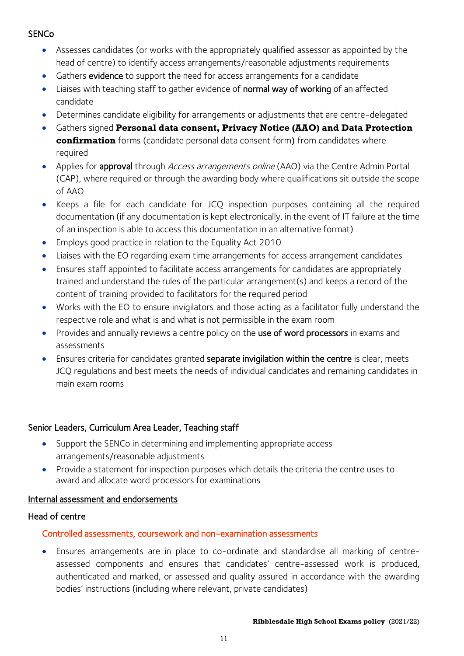## **SENCo**

- Assesses candidates (or works with the appropriately qualified assessor as appointed by the head of centre) to identify access arrangements/reasonable adjustments requirements
- Gathers **evidence** to support the need for access arrangements for a candidate
- Liaises with teaching staff to gather evidence of normal way of working of an affected candidate
- Determines candidate eligibility for arrangements or adjustments that are centre-delegated
- Gathers signed **Personal data consent, Privacy Notice (AAO) and Data Protection confirmation** forms (candidate personal data consent form) from candidates where required
- Applies for **approval** through *Access arrangements online* (AAO) via the Centre Admin Portal (CAP), where required or through the awarding body where qualifications sit outside the scope of AAO
- Keeps a file for each candidate for JCQ inspection purposes containing all the required documentation (if any documentation is kept electronically, in the event of IT failure at the time of an inspection is able to access this documentation in an alternative format)
- Employs good practice in relation to the Equality Act 2010
- Liaises with the EO regarding exam time arrangements for access arrangement candidates
- Ensures staff appointed to facilitate access arrangements for candidates are appropriately trained and understand the rules of the particular arrangement(s) and keeps a record of the content of training provided to facilitators for the required period
- Works with the EO to ensure invigilators and those acting as a facilitator fully understand the respective role and what is and what is not permissible in the exam room
- Provides and annually reviews a centre policy on the use of word processors in exams and assessments
- Ensures criteria for candidates granted separate invigilation within the centre is clear, meets JCQ regulations and best meets the needs of individual candidates and remaining candidates in main exam rooms

#### Senior Leaders, Curriculum Area Leader, Teaching staff

- Support the SENCo in determining and implementing appropriate access arrangements/reasonable adjustments
- Provide a statement for inspection purposes which details the criteria the centre uses to award and allocate word processors for examinations

#### Internal assessment and endorsements

#### Head of centre

#### Controlled assessments, coursework and non-examination assessments

• Ensures arrangements are in place to co-ordinate and standardise all marking of centreassessed components and ensures that candidates' centre-assessed work is produced, authenticated and marked, or assessed and quality assured in accordance with the awarding bodies' instructions (including where relevant, private candidates)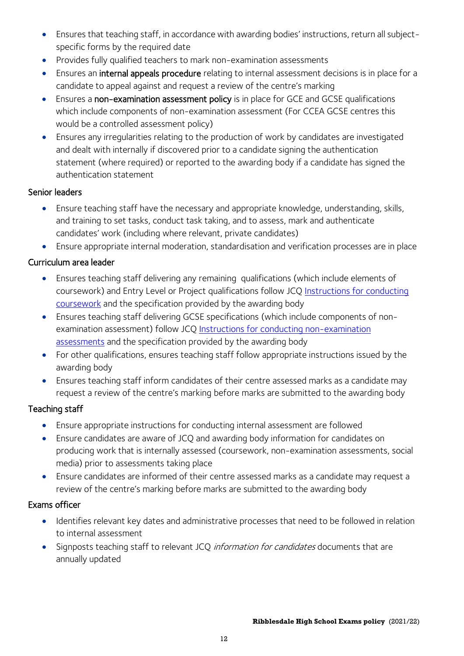- Ensures that teaching staff, in accordance with awarding bodies' instructions, return all subjectspecific forms by the required date
- Provides fully qualified teachers to mark non-examination assessments
- Ensures an internal appeals procedure relating to internal assessment decisions is in place for a candidate to appeal against and request a review of the centre's marking
- Ensures a non-examination assessment policy is in place for GCE and GCSE qualifications which include components of non-examination assessment (For CCEA GCSE centres this would be a controlled assessment policy)
- Ensures any irregularities relating to the production of work by candidates are investigated and dealt with internally if discovered prior to a candidate signing the authentication statement (where required) or reported to the awarding body if a candidate has signed the authentication statement

#### Senior leaders

- Ensure teaching staff have the necessary and appropriate knowledge, understanding, skills, and training to set tasks, conduct task taking, and to assess, mark and authenticate candidates' work (including where relevant, private candidates)
- Ensure appropriate internal moderation, standardisation and verification processes are in place

# Curriculum area leader

- Ensures teaching staff delivering any remaining qualifications (which include elements of coursework) and Entry Level or Project qualifications follow JCQ [Instructions for conducting](http://www.jcq.org.uk/exams-office/coursework)  [coursework](http://www.jcq.org.uk/exams-office/coursework) and the specification provided by the awarding body
- Ensures teaching staff delivering GCSE specifications (which include components of nonexamination assessment) follow JCQ [Instructions for conducting non-examination](http://www.jcq.org.uk/exams-office/non-examination-assessments)  [assessments](http://www.jcq.org.uk/exams-office/non-examination-assessments) and the specification provided by the awarding body
- For other qualifications, ensures teaching staff follow appropriate instructions issued by the awarding body
- Ensures teaching staff inform candidates of their centre assessed marks as a candidate may request a review of the centre's marking before marks are submitted to the awarding body

#### Teaching staff

- Ensure appropriate instructions for conducting internal assessment are followed
- Ensure candidates are aware of JCQ and awarding body information for candidates on producing work that is internally assessed (coursework, non-examination assessments, social media) prior to assessments taking place
- Ensure candidates are informed of their centre assessed marks as a candidate may request a review of the centre's marking before marks are submitted to the awarding body

- Identifies relevant key dates and administrative processes that need to be followed in relation to internal assessment
- Signposts teaching staff to relevant JCQ information for candidates documents that are annually updated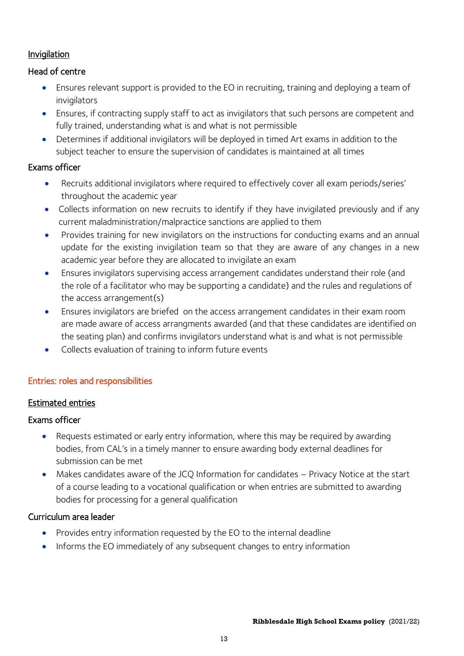## Invigilation

## Head of centre

- Ensures relevant support is provided to the EO in recruiting, training and deploying a team of invigilators
- Ensures, if contracting supply staff to act as invigilators that such persons are competent and fully trained, understanding what is and what is not permissible
- Determines if additional invigilators will be deployed in timed Art exams in addition to the subject teacher to ensure the supervision of candidates is maintained at all times

## Exams officer

- Recruits additional invigilators where required to effectively cover all exam periods/series' throughout the academic year
- Collects information on new recruits to identify if they have invigilated previously and if any current maladministration/malpractice sanctions are applied to them
- Provides training for new invigilators on the instructions for conducting exams and an annual update for the existing invigilation team so that they are aware of any changes in a new academic year before they are allocated to invigilate an exam
- Ensures invigilators supervising access arrangement candidates understand their role (and the role of a facilitator who may be supporting a candidate) and the rules and regulations of the access arrangement(s)
- Ensures invigilators are briefed on the access arrangement candidates in their exam room are made aware of access arrangments awarded (and that these candidates are identified on the seating plan) and confirms invigilators understand what is and what is not permissible
- Collects evaluation of training to inform future events

#### Entries: roles and responsibilities

#### Estimated entries

#### Exams officer

- Requests estimated or early entry information, where this may be required by awarding bodies, from CAL's in a timely manner to ensure awarding body external deadlines for submission can be met
- Makes candidates aware of the JCQ Information for candidates Privacy Notice at the start of a course leading to a vocational qualification or when entries are submitted to awarding bodies for processing for a general qualification

#### Curriculum area leader

- Provides entry information requested by the EO to the internal deadline
- Informs the EO immediately of any subsequent changes to entry information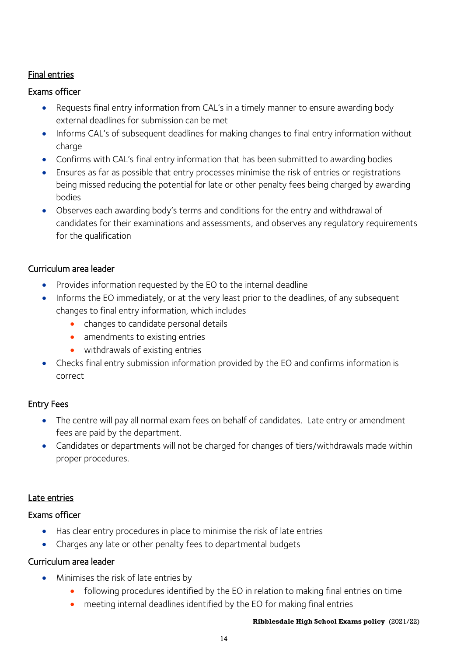## Final entries

#### Exams officer

- Requests final entry information from CAL's in a timely manner to ensure awarding body external deadlines for submission can be met
- Informs CAL's of subsequent deadlines for making changes to final entry information without charge
- Confirms with CAL's final entry information that has been submitted to awarding bodies
- Ensures as far as possible that entry processes minimise the risk of entries or registrations being missed reducing the potential for late or other penalty fees being charged by awarding bodies
- Observes each awarding body's terms and conditions for the entry and withdrawal of candidates for their examinations and assessments, and observes any regulatory requirements for the qualification

## Curriculum area leader

- Provides information requested by the EO to the internal deadline
- Informs the EO immediately, or at the very least prior to the deadlines, of any subsequent changes to final entry information, which includes
	- changes to candidate personal details
	- amendments to existing entries
	- withdrawals of existing entries
- Checks final entry submission information provided by the EO and confirms information is correct

# Entry Fees

- The centre will pay all normal exam fees on behalf of candidates. Late entry or amendment fees are paid by the department.
- Candidates or departments will not be charged for changes of tiers/withdrawals made within proper procedures.

#### Late entries

#### Exams officer

- Has clear entry procedures in place to minimise the risk of late entries
- Charges any late or other penalty fees to departmental budgets

#### Curriculum area leader

- Minimises the risk of late entries by
	- following procedures identified by the EO in relation to making final entries on time
	- meeting internal deadlines identified by the EO for making final entries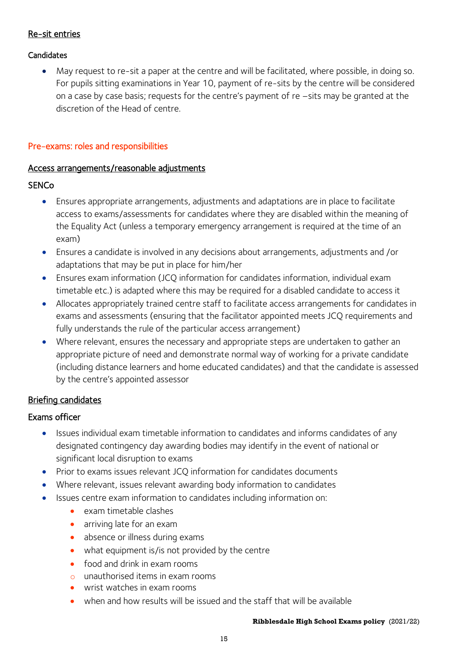#### Re-sit entries

#### **Candidates**

• May request to re-sit a paper at the centre and will be facilitated, where possible, in doing so. For pupils sitting examinations in Year 10, payment of re-sits by the centre will be considered on a case by case basis; requests for the centre's payment of re –sits may be granted at the discretion of the Head of centre.

#### Pre-exams: roles and responsibilities

#### Access arrangements/reasonable adjustments

#### **SENCo**

- Ensures appropriate arrangements, adjustments and adaptations are in place to facilitate access to exams/assessments for candidates where they are disabled within the meaning of the Equality Act (unless a temporary emergency arrangement is required at the time of an exam)
- Ensures a candidate is involved in any decisions about arrangements, adjustments and /or adaptations that may be put in place for him/her
- Ensures exam information (JCQ information for candidates information, individual exam timetable etc.) is adapted where this may be required for a disabled candidate to access it
- Allocates appropriately trained centre staff to facilitate access arrangements for candidates in exams and assessments (ensuring that the facilitator appointed meets JCQ requirements and fully understands the rule of the particular access arrangement)
- Where relevant, ensures the necessary and appropriate steps are undertaken to gather an appropriate picture of need and demonstrate normal way of working for a private candidate (including distance learners and home educated candidates) and that the candidate is assessed by the centre's appointed assessor

#### Briefing candidates

- Issues individual exam timetable information to candidates and informs candidates of any designated contingency day awarding bodies may identify in the event of national or significant local disruption to exams
- Prior to exams issues relevant JCQ information for candidates documents
- Where relevant, issues relevant awarding body information to candidates
- Issues centre exam information to candidates including information on:
	- exam timetable clashes
	- arriving late for an exam
	- absence or illness during exams
	- what equipment is/is not provided by the centre
	- food and drink in exam rooms
	- o unauthorised items in exam rooms
	- wrist watches in exam rooms
	- when and how results will be issued and the staff that will be available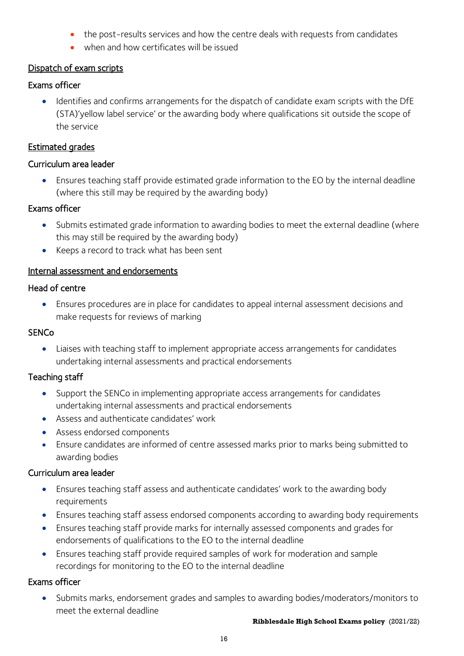- the post-results services and how the centre deals with requests from candidates
- when and how certificates will be issued

## Dispatch of exam scripts

## Exams officer

• Identifies and confirms arrangements for the dispatch of candidate exam scripts with the DfE (STA)'yellow label service' or the awarding body where qualifications sit outside the scope of the service

## Estimated grades

#### Curriculum area leader

• Ensures teaching staff provide estimated grade information to the EO by the internal deadline (where this still may be required by the awarding body)

## Exams officer

- Submits estimated grade information to awarding bodies to meet the external deadline (where this may still be required by the awarding body)
- Keeps a record to track what has been sent

## Internal assessment and endorsements

## Head of centre

• Ensures procedures are in place for candidates to appeal internal assessment decisions and make requests for reviews of marking

# **SENCo**

• Liaises with teaching staff to implement appropriate access arrangements for candidates undertaking internal assessments and practical endorsements

# Teaching staff

- Support the SENCo in implementing appropriate access arrangements for candidates undertaking internal assessments and practical endorsements
- Assess and authenticate candidates' work
- Assess endorsed components
- Ensure candidates are informed of centre assessed marks prior to marks being submitted to awarding bodies

# Curriculum area leader

- Ensures teaching staff assess and authenticate candidates' work to the awarding body requirements
- Ensures teaching staff assess endorsed components according to awarding body requirements
- Ensures teaching staff provide marks for internally assessed components and grades for endorsements of qualifications to the EO to the internal deadline
- Ensures teaching staff provide required samples of work for moderation and sample recordings for monitoring to the EO to the internal deadline

# Exams officer

• Submits marks, endorsement grades and samples to awarding bodies/moderators/monitors to meet the external deadline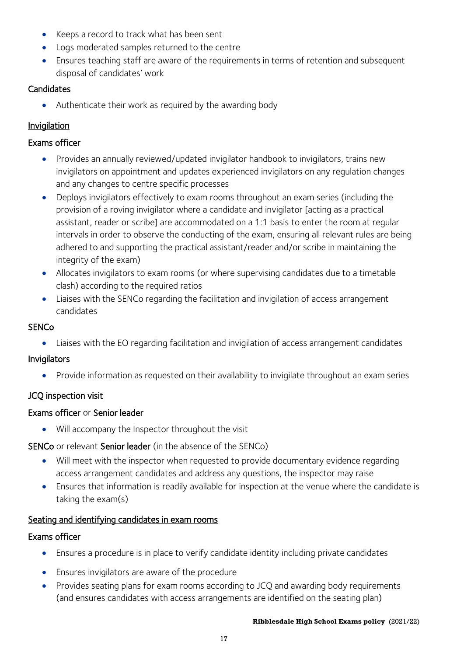- Keeps a record to track what has been sent
- Logs moderated samples returned to the centre
- Ensures teaching staff are aware of the requirements in terms of retention and subsequent disposal of candidates' work

## **Candidates**

• Authenticate their work as required by the awarding body

# Invigilation

## Exams officer

- Provides an annually reviewed/updated invigilator handbook to invigilators, trains new invigilators on appointment and updates experienced invigilators on any regulation changes and any changes to centre specific processes
- Deploys invigilators effectively to exam rooms throughout an exam series (including the provision of a roving invigilator where a candidate and invigilator [acting as a practical assistant, reader or scribe] are accommodated on a 1:1 basis to enter the room at regular intervals in order to observe the conducting of the exam, ensuring all relevant rules are being adhered to and supporting the practical assistant/reader and/or scribe in maintaining the integrity of the exam)
- Allocates invigilators to exam rooms (or where supervising candidates due to a timetable clash) according to the required ratios
- Liaises with the SENCo regarding the facilitation and invigilation of access arrangement candidates

## **SENCo**

• Liaises with the EO regarding facilitation and invigilation of access arrangement candidates

# Invigilators

• Provide information as requested on their availability to invigilate throughout an exam series

#### JCQ inspection visit

#### Exams officer or Senior leader

• Will accompany the Inspector throughout the visit

SENCo or relevant Senior leader (in the absence of the SENCo)

- Will meet with the inspector when requested to provide documentary evidence regarding access arrangement candidates and address any questions, the inspector may raise
- Ensures that information is readily available for inspection at the venue where the candidate is taking the exam(s)

# Seating and identifying candidates in exam rooms

#### Exams officer

- Ensures a procedure is in place to verify candidate identity including private candidates
- Ensures invigilators are aware of the procedure
- Provides seating plans for exam rooms according to JCQ and awarding body requirements (and ensures candidates with access arrangements are identified on the seating plan)

#### **Ribblesdale High School Exams policy** (2021/22)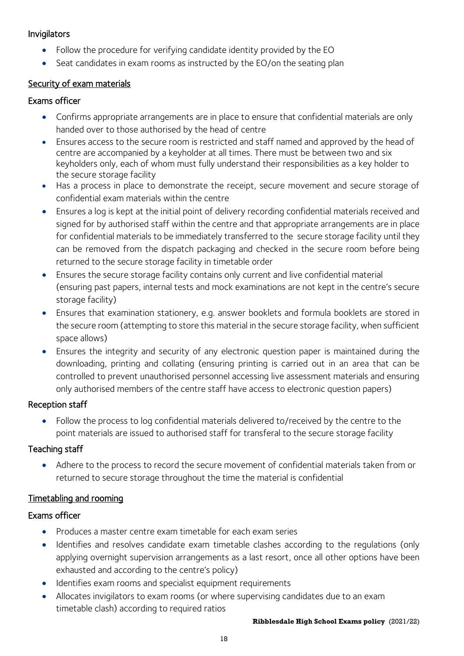#### Invigilators

- Follow the procedure for verifying candidate identity provided by the EO
- Seat candidates in exam rooms as instructed by the EO/on the seating plan

# Security of exam materials

#### Exams officer

- Confirms appropriate arrangements are in place to ensure that confidential materials are only handed over to those authorised by the head of centre
- Ensures access to the secure room is restricted and staff named and approved by the head of centre are accompanied by a keyholder at all times. There must be between two and six keyholders only, each of whom must fully understand their responsibilities as a key holder to the secure storage facility
- Has a process in place to demonstrate the receipt, secure movement and secure storage of confidential exam materials within the centre
- Ensures a log is kept at the initial point of delivery recording confidential materials received and signed for by authorised staff within the centre and that appropriate arrangements are in place for confidential materials to be immediately transferred to the secure storage facility until they can be removed from the dispatch packaging and checked in the secure room before being returned to the secure storage facility in timetable order
- Ensures the secure storage facility contains only current and live confidential material (ensuring past papers, internal tests and mock examinations are not kept in the centre's secure storage facility)
- Ensures that examination stationery, e.g. answer booklets and formula booklets are stored in the secure room (attempting to store this material in the secure storage facility, when sufficient space allows)
- Ensures the integrity and security of any electronic question paper is maintained during the downloading, printing and collating (ensuring printing is carried out in an area that can be controlled to prevent unauthorised personnel accessing live assessment materials and ensuring only authorised members of the centre staff have access to electronic question papers)

#### Reception staff

• Follow the process to log confidential materials delivered to/received by the centre to the point materials are issued to authorised staff for transferal to the secure storage facility

#### Teaching staff

• Adhere to the process to record the secure movement of confidential materials taken from or returned to secure storage throughout the time the material is confidential

# Timetabling and rooming

- Produces a master centre exam timetable for each exam series
- Identifies and resolves candidate exam timetable clashes according to the regulations (only applying overnight supervision arrangements as a last resort, once all other options have been exhausted and according to the centre's policy)
- Identifies exam rooms and specialist equipment requirements
- Allocates invigilators to exam rooms (or where supervising candidates due to an exam timetable clash) according to required ratios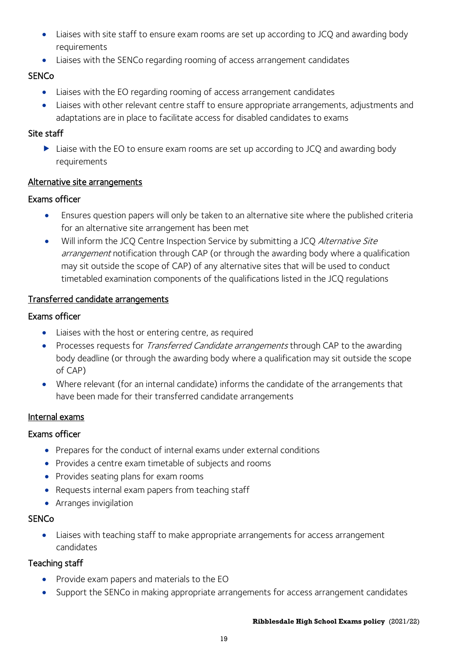- Liaises with site staff to ensure exam rooms are set up according to JCQ and awarding body requirements
- Liaises with the SENCo regarding rooming of access arrangement candidates

# **SENCo**

- Liaises with the EO regarding rooming of access arrangement candidates
- Liaises with other relevant centre staff to ensure appropriate arrangements, adjustments and adaptations are in place to facilitate access for disabled candidates to exams

## Site staff

▶ Liaise with the EO to ensure exam rooms are set up according to JCQ and awarding body requirements

## Alternative site arrangements

## Exams officer

- Ensures question papers will only be taken to an alternative site where the published criteria for an alternative site arrangement has been met
- Will inform the JCQ Centre Inspection Service by submitting a JCQ Alternative Site arrangement notification through CAP (or through the awarding body where a qualification may sit outside the scope of CAP) of any alternative sites that will be used to conduct timetabled examination components of the qualifications listed in the JCQ regulations

## Transferred candidate arrangements

## Exams officer

- Liaises with the host or entering centre, as required
- Processes requests for *Transferred Candidate arrangements* through CAP to the awarding body deadline (or through the awarding body where a qualification may sit outside the scope of CAP)
- Where relevant (for an internal candidate) informs the candidate of the arrangements that have been made for their transferred candidate arrangements

# Internal exams

# Exams officer

- Prepares for the conduct of internal exams under external conditions
- Provides a centre exam timetable of subjects and rooms
- Provides seating plans for exam rooms
- Requests internal exam papers from teaching staff
- Arranges invigilation

#### **SENCo**

• Liaises with teaching staff to make appropriate arrangements for access arrangement candidates

# Teaching staff

- Provide exam papers and materials to the EO
- Support the SENCo in making appropriate arrangements for access arrangement candidates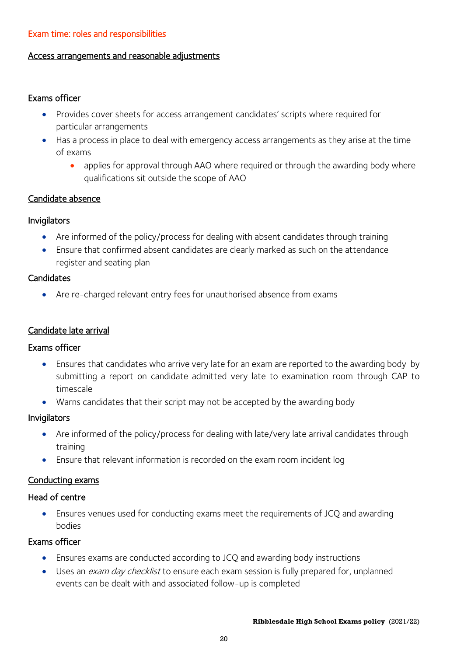#### Exam time: roles and responsibilities

#### Access arrangements and reasonable adjustments

#### Exams officer

- Provides cover sheets for access arrangement candidates' scripts where required for particular arrangements
- Has a process in place to deal with emergency access arrangements as they arise at the time of exams
	- applies for approval through AAO where required or through the awarding body where qualifications sit outside the scope of AAO

#### Candidate absence

#### Invigilators

- Are informed of the policy/process for dealing with absent candidates through training
- Ensure that confirmed absent candidates are clearly marked as such on the attendance register and seating plan

#### **Candidates**

• Are re-charged relevant entry fees for unauthorised absence from exams

#### Candidate late arrival

#### Exams officer

- Ensures that candidates who arrive very late for an exam are reported to the awarding body by submitting a report on candidate admitted very late to examination room through CAP to timescale
- Warns candidates that their script may not be accepted by the awarding body

#### Invigilators

- Are informed of the policy/process for dealing with late/very late arrival candidates through training
- Ensure that relevant information is recorded on the exam room incident log

#### Conducting exams

#### Head of centre

• Ensures venues used for conducting exams meet the requirements of JCQ and awarding bodies

- Ensures exams are conducted according to JCQ and awarding body instructions
- Uses an *exam day checklist* to ensure each exam session is fully prepared for, unplanned events can be dealt with and associated follow-up is completed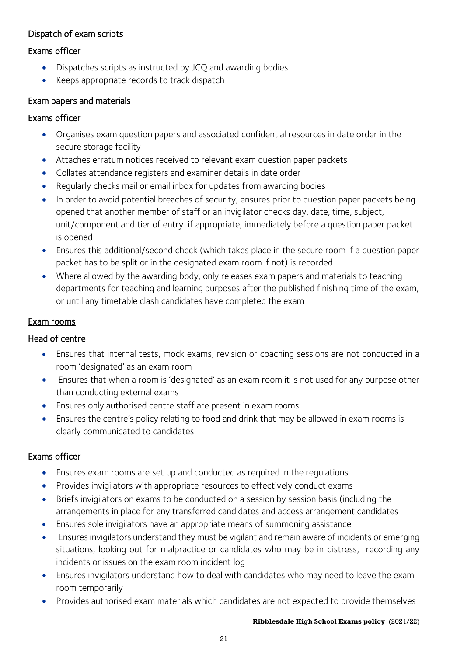## Dispatch of exam scripts

#### Exams officer

- Dispatches scripts as instructed by JCQ and awarding bodies
- Keeps appropriate records to track dispatch

#### Exam papers and materials

#### Exams officer

- Organises exam question papers and associated confidential resources in date order in the secure storage facility
- Attaches erratum notices received to relevant exam question paper packets
- Collates attendance registers and examiner details in date order
- Regularly checks mail or email inbox for updates from awarding bodies
- In order to avoid potential breaches of security, ensures prior to question paper packets being opened that another member of staff or an invigilator checks day, date, time, subject, unit/component and tier of entry if appropriate, immediately before a question paper packet is opened
- Ensures this additional/second check (which takes place in the secure room if a question paper packet has to be split or in the designated exam room if not) is recorded
- Where allowed by the awarding body, only releases exam papers and materials to teaching departments for teaching and learning purposes after the published finishing time of the exam, or until any timetable clash candidates have completed the exam

#### Exam rooms

#### Head of centre

- Ensures that internal tests, mock exams, revision or coaching sessions are not conducted in a room 'designated' as an exam room
- Ensures that when a room is 'designated' as an exam room it is not used for any purpose other than conducting external exams
- Ensures only authorised centre staff are present in exam rooms
- Ensures the centre's policy relating to food and drink that may be allowed in exam rooms is clearly communicated to candidates

#### Exams officer

- Ensures exam rooms are set up and conducted as required in the regulations
- Provides invigilators with appropriate resources to effectively conduct exams
- Briefs invigilators on exams to be conducted on a session by session basis (including the arrangements in place for any transferred candidates and access arrangement candidates
- Ensures sole invigilators have an appropriate means of summoning assistance
- Ensures invigilators understand they must be vigilant and remain aware of incidents or emerging situations, looking out for malpractice or candidates who may be in distress, recording any incidents or issues on the exam room incident log
- Ensures invigilators understand how to deal with candidates who may need to leave the exam room temporarily
- Provides authorised exam materials which candidates are not expected to provide themselves

#### **Ribblesdale High School Exams policy** (2021/22)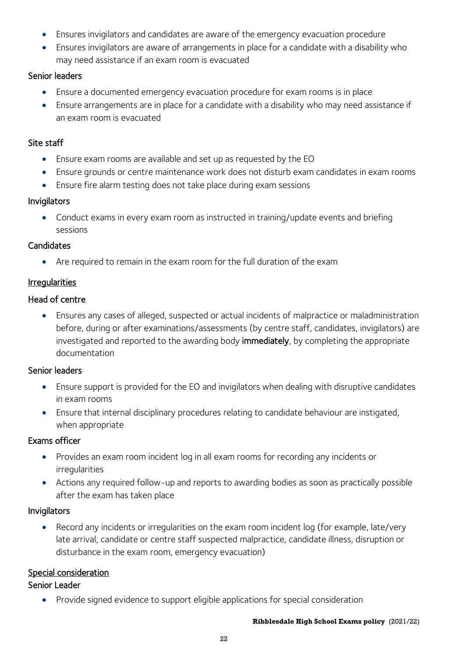- Ensures invigilators and candidates are aware of the emergency evacuation procedure
- Ensures invigilators are aware of arrangements in place for a candidate with a disability who may need assistance if an exam room is evacuated

## Senior leaders

- Ensure a documented emergency evacuation procedure for exam rooms is in place
- Ensure arrangements are in place for a candidate with a disability who may need assistance if an exam room is evacuated

## Site staff

- Ensure exam rooms are available and set up as requested by the EO
- Ensure grounds or centre maintenance work does not disturb exam candidates in exam rooms
- Ensure fire alarm testing does not take place during exam sessions

## Invigilators

• Conduct exams in every exam room as instructed in training/update events and briefing sessions

## **Candidates**

• Are required to remain in the exam room for the full duration of the exam

# Irregularities

## Head of centre

• Ensures any cases of alleged, suspected or actual incidents of malpractice or maladministration before, during or after examinations/assessments (by centre staff, candidates, invigilators) are investigated and reported to the awarding body immediately, by completing the appropriate documentation

# Senior leaders

- Ensure support is provided for the EO and invigilators when dealing with disruptive candidates in exam rooms
- Ensure that internal disciplinary procedures relating to candidate behaviour are instigated, when appropriate

#### Exams officer

- Provides an exam room incident log in all exam rooms for recording any incidents or irregularities
- Actions any required follow-up and reports to awarding bodies as soon as practically possible after the exam has taken place

#### Invigilators

Record any incidents or irregularities on the exam room incident log (for example, late/very late arrival, candidate or centre staff suspected malpractice, candidate illness, disruption or disturbance in the exam room, emergency evacuation)

# Special consideration

## Senior Leader

• Provide signed evidence to support eligible applications for special consideration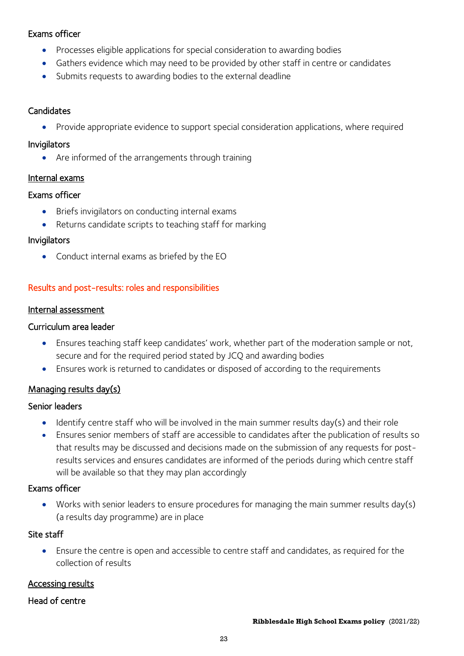#### Exams officer

- Processes eligible applications for special consideration to awarding bodies
- Gathers evidence which may need to be provided by other staff in centre or candidates
- Submits requests to awarding bodies to the external deadline

#### **Candidates**

• Provide appropriate evidence to support special consideration applications, where required

#### Invigilators

• Are informed of the arrangements through training

#### Internal exams

#### Exams officer

- Briefs invigilators on conducting internal exams
- Returns candidate scripts to teaching staff for marking

#### Invigilators

• Conduct internal exams as briefed by the EO

#### Results and post-results: roles and responsibilities

#### Internal assessment

#### Curriculum area leader

- Ensures teaching staff keep candidates' work, whether part of the moderation sample or not, secure and for the required period stated by JCQ and awarding bodies
- Ensures work is returned to candidates or disposed of according to the requirements

#### Managing results day(s)

#### Senior leaders

- Identify centre staff who will be involved in the main summer results day(s) and their role
- Ensures senior members of staff are accessible to candidates after the publication of results so that results may be discussed and decisions made on the submission of any requests for postresults services and ensures candidates are informed of the periods during which centre staff will be available so that they may plan accordingly

#### Exams officer

• Works with senior leaders to ensure procedures for managing the main summer results day(s) (a results day programme) are in place

#### Site staff

• Ensure the centre is open and accessible to centre staff and candidates, as required for the collection of results

#### Accessing results

#### Head of centre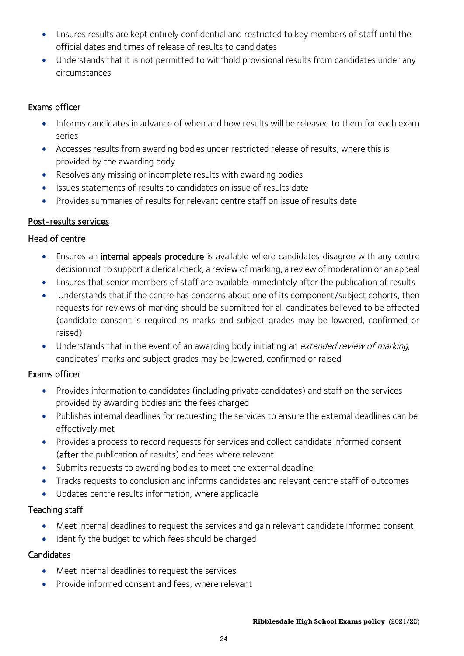- Ensures results are kept entirely confidential and restricted to key members of staff until the official dates and times of release of results to candidates
- Understands that it is not permitted to withhold provisional results from candidates under any circumstances

## Exams officer

- Informs candidates in advance of when and how results will be released to them for each exam series
- Accesses results from awarding bodies under restricted release of results, where this is provided by the awarding body
- Resolves any missing or incomplete results with awarding bodies
- Issues statements of results to candidates on issue of results date
- Provides summaries of results for relevant centre staff on issue of results date

## Post-results services

#### Head of centre

- Ensures an internal appeals procedure is available where candidates disagree with any centre decision not to support a clerical check, a review of marking, a review of moderation or an appeal
- Ensures that senior members of staff are available immediately after the publication of results
- Understands that if the centre has concerns about one of its component/subject cohorts, then requests for reviews of marking should be submitted for all candidates believed to be affected (candidate consent is required as marks and subject grades may be lowered, confirmed or raised)
- Understands that in the event of an awarding body initiating an extended review of marking, candidates' marks and subject grades may be lowered, confirmed or raised

# Exams officer

- Provides information to candidates (including private candidates) and staff on the services provided by awarding bodies and the fees charged
- Publishes internal deadlines for requesting the services to ensure the external deadlines can be effectively met
- Provides a process to record requests for services and collect candidate informed consent (after the publication of results) and fees where relevant
- Submits requests to awarding bodies to meet the external deadline
- Tracks requests to conclusion and informs candidates and relevant centre staff of outcomes
- Updates centre results information, where applicable

#### Teaching staff

- Meet internal deadlines to request the services and gain relevant candidate informed consent
- Identify the budget to which fees should be charged

#### **Candidates**

- Meet internal deadlines to request the services
- Provide informed consent and fees, where relevant